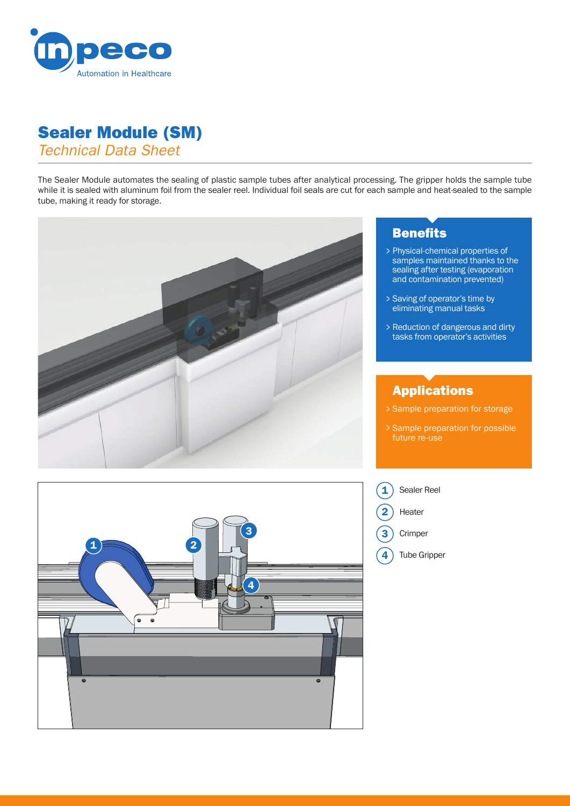

## Sealer Module (SM)

*Technical Data Sheet*

The Sealer Module automates the sealing of plastic sample tubes after analytical processing. The gripper holds the sample tube while it is sealed with aluminum foil from the sealer reel. Individual foil seals are cut for each sample and heat-sealed to the sample tube, making it ready for storage.



# $\overline{\mathbf{1}}$  2 3 4

### **Benefits**

- Physical-chemical properties of > samples maintained thanks to the sealing after testing (evaporation and contamination prevented)
- Saving of operator's time by > eliminating manual tasks
- > Reduction of dangerous and dirty tasks from operator's activities

#### Applications

- Sample preparation for storage >
- Sample preparation for possible > future re-use



- Heater 2
- **Crimper** 3
- Tube Gripper 4